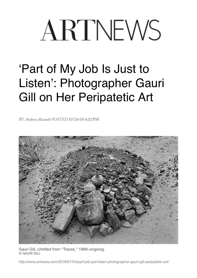## ARTNEWS

## 'Part of My Job Is Just to Listen': Photographer Gauri Gill on Her Peripatetic Art

BY *[Andrew Russeth](http://www.artnews.com/author/arusseth/)* POSTED **07/24/18 4:32 PM** 



Gauri Gill, *Untitled* from "Traces," 1999–ongoing. © GAURI GILL

http://www.artnews.com/2018/07/24/part-job-just-listen-photographer-gauri-gill-peripatetic-art/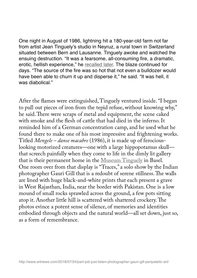One night in August of 1986, lightning hit a 180-year-old farm not far from artist Jean Tinguely's studio in Neyruz, a rural town in Switzerland situated between Bern and Lausanne. Tinguely awoke and watched the ensuing destruction. "It was a fearsome, all-consuming fire, a dramatic, erotic, hellish experience," he [recalled later](https://www.tinguely.ch/en/sammlung/sammlung.html?period=&detail=962c9e68-e3b5-4fec-b8c1-033784e6e6e6). The blaze continued for days. "The source of the fire was so hot that not even a bulldozer would have been able to churn it up and disperse it," he said. "It was hell, it was diabolical."

After the fames were extinguished, Tinguely ventured inside. "I began to pull out pieces of iron from the tepid refuse, without knowing why," he said. There were scraps of metal and equipment, the scene caked with smoke and the fesh of cattle that had died in the inferno. It reminded him of a German concentration camp, and he used what he found there to make one of his most impressive and frightening works. Titled *Mengele – danse macabre* (1986), it is made up of ferociouslooking motorized creatures—one with a large hippopotamus skull that screech painfully when they come to life in the dimly lit gallery that is their permanent home in the [Museum Tinguely](https://www.tinguely.ch/en/ausstellungen/ausstellungen/2018/gauri-gill.html) in Basel. One room over from that display is "Traces," a solo show by the Indian photographer Gauri Gill that is a redoubt of serene stillness. The walls are lined with huge black-and-white prints that each present a grave in West Rajasthan, India, near the border with Pakistan. One is a low mound of small rocks sprawled across the ground, a few pots sitting atop it. Another little hill is scattered with shattered crockery. The photos evince a potent sense of silence, of memories and identities embodied through objects and the natural world—all set down, just so, as a form of remembrance.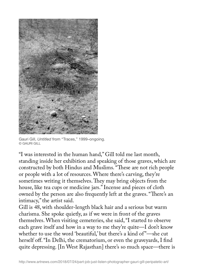

Gauri Gill, *Untitled* from "Traces," 1999–ongoing. © GAURI GILL

"I was interested in the human hand," Gill told me last month, standing inside her exhibition and speaking of those graves, which are constructed by both Hindus and Muslims. "These are not rich people or people with a lot of resources. Where there's carving, they're sometimes writing it themselves. They may bring objects from the house, like tea cups or medicine jars." Incense and pieces of cloth owned by the person are also frequently left at the graves. "There's an intimacy," the artist said.

Gill is 48, with shoulder-length black hair and a serious but warm charisma. She spoke quietly, as if we were in front of the graves themselves. When visiting cemeteries, she said, "I started to observe each grave itself and how in a way to me they're quite—I don't know whether to use the word 'beautiful,' but there's a kind of"—she cut herself off. "In Delhi, the crematorium, or even the graveyards, I find quite depressing. [In West Rajasthan] there's so much space—there is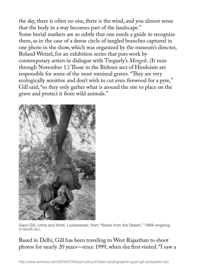the sky, there is often no one, there is the wind, and you almost sense that the body in a way becomes part of the landscape." Some burial markers are so subtle that one needs a guide to recognize them, as in the case of a dense circle of tangled branches captured in one photo in the show, which was organized by the museum's director, Roland Wetzel, for an exhibition series that puts work by contemporary artists in dialogue with Tinguely's *Mengele*. (It runs through November 1.) Those in the Bishnoi sect of Hinduism are responsible for some of the most minimal graves. "They are very ecologically sensitive and don't wish to cut even frewood for a pyre," Gill said, "so they only gather what is around the site to place on the grave and protect it from wild animals."



Gauri Gill, *Urma and Nimli, Lunkaransar*, from "Notes from the Desert," 1999–ongoing. © GAURI GILL

Based in Delhi, Gill has been traveling to West Rajasthan to shoot photos for nearly 20 years—since 1999, when she frst visited. "I saw a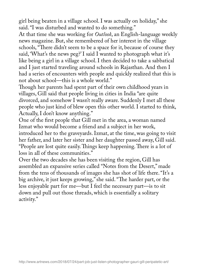girl being beaten in a village school. I was actually on holiday," she said. "I was disturbed and wanted to do something."

At that time she was working for *Outlook*, an English-language weekly news magazine. But, she remembered of her interest in the village schools, "There didn't seem to be a space for it, because of course they said, 'What's the news peg?' I said I wanted to photograph what it's like being a girl in a village school. I then decided to take a sabbatical and I just started traveling around schools in Rajasthan. And then I had a series of encounters with people and quickly realized that this is not about school—this is a whole world."

Though her parents had spent part of their own childhood years in villages, Gill said that people living in cities in India "are quite divorced, and somehow I wasn't really aware. Suddenly I met all these people who just kind of blew open this other world. I started to think, Actually, I don't know anything."

One of the frst people that Gill met in the area, a woman named Izmat who would become a friend and a subject in her work, introduced her to the graveyards. Izmat, at the time, was going to visit her father, and later her sister and her daughter passed away, Gill said. "People are lost quite easily. Things keep happening. There is a lot of loss in all of these communities."

Over the two decades she has been visiting the region, Gill has assembled an expansive series called "Notes from the Desert," made from the tens of thousands of images she has shot of life there. "It's a big archive, it just keeps growing," she said. "The harder part, or the less enjoyable part for me—but I feel the necessary part—is to sit down and pull out those threads, which is essentially a solitary activity."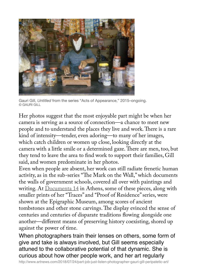

Gauri Gill, *Untitled* from the series "Acts of Appearance," 2015–ongoing. © GAURI GILL

Her photos suggest that the most enjoyable part might be when her camera is serving as a source of connection—a chance to meet new people and to understand the places they live and work. There is a rare kind of intensity—tender, even adoring—to many of her images, which catch children or women up close, looking directly at the camera with a little smile or a determined gaze. There are men, too, but they tend to leave the area to fnd work to support their families, Gill said, and women predominate in her photos.

Even when people are absent, her work can still radiate frenetic human activity, as in the sub-series "The Mark on the Wall," which documents the walls of government schools, covered all over with paintings and writing. At [Documenta 14](http://www.documenta14.de/en/artists/13545/gauri-gill) in Athens, some of these pieces, along with smaller prints of her "Traces" and "Proof of Residence" series, were shown at the Epigraphic Museum, among scores of ancient tombstones and other stone carvings. The display evinced the sense of centuries and centuries of disparate traditions fowing alongside one another—different means of preserving history coexisting, shored up against the power of time.

When photographers train their lenses on others, some form of give and take is always involved, but Gill seems especially attuned to the collaborative potential of that dynamic. She is curious about how other people work, and her art regularly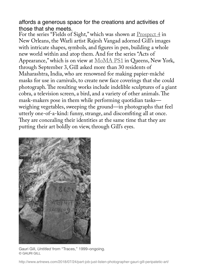affords a generous space for the creations and activities of those that she meets.

For the series "Fields of Sight," which was shown at [Prospect 4](https://www.prospectneworleans.org/p4-artists-1/2017/5/24/gauri-gill-and-rajesh-vangad) in New Orleans, the Warli artist Rajesh Vangad adorned Gill's images with intricate shapes, symbols, and fgures in pen, building a whole new world within and atop them. And for the series "Acts of Appearance," which is on view at [MoMA PS1](https://www.prospectneworleans.org/p4-artists-1/2017/5/24/gauri-gill-and-rajesh-vangad) in Queens, New York, through September 3, Gill asked more than 30 residents of Maharashtra, India, who are renowned for making papier-mâché masks for use in carnivals, to create new face coverings that she could photograph. The resulting works include indelible sculptures of a giant cobra, a television screen, a bird, and a variety of other animals. The mask-makers pose in them while performing quotidian tasks weighing vegetables, sweeping the ground—in photographs that feel utterly one-of-a-kind: funny, strange, and discomfting all at once. They are concealing their identities at the same time that they are putting their art boldly on view, through Gill's eyes.



Gauri Gill, *Untitled* from "Traces," 1999–ongoing. © GAURI GILL

http://www.artnews.com/2018/07/24/part-job-just-listen-photographer-gauri-gill-peripatetic-art/